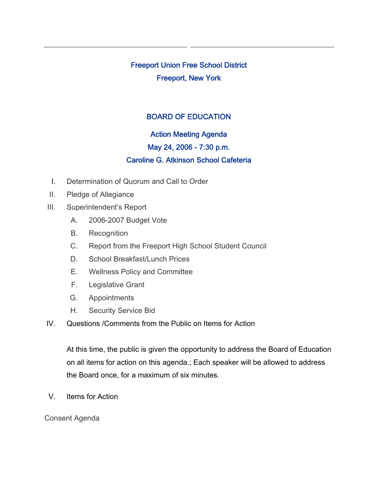Freeport Union Free School District Freeport, New York

# BOARD OF EDUCATION

# Action Meeting Agenda

#### May 24, 2006 - 7:30 p.m.

# Caroline G. Atkinson School Cafeteria

- I. Determination of Quorum and Call to Order
- II. Pledge of Allegiance
- III. Superintendent's Report
	- A. 2006-2007 Budget Vote
	- B. Recognition
	- C. Report from the Freeport High School Student Council
	- D. School Breakfast/Lunch Prices
	- E. Wellness Policy and Committee
	- F. Legislative Grant
	- G. Appointments
	- H. Security Service Bid
- IV. Questions /Comments from the Public on Items for Action

At this time, the public is given the opportunity to address the Board of Education on all items for action on this agenda.; Each speaker will be allowed to address the Board once, for a maximum of six minutes.

V. Items for Action

#### Consent Agenda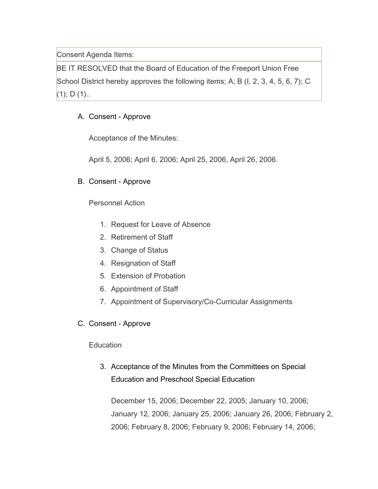Consent Agenda Items:

BE IT RESOLVED that the Board of Education of the Freeport Union Free School District hereby approves the following items; A; B (I, 2, 3, 4, 5, 6, 7); C  $(1);$  D  $(1).$ 

# A. Consent - Approve

Acceptance of the Minutes:

April 5, 2006; April 6, 2006; April 25, 2006, April 26, 2006.

### B. Consent - Approve

Personnel Action

- 1. Request for Leave of Absence
- 2. Retirement of Staff
- 3. Change of Status
- 4. Resignation of Staff
- 5. Extension of Probation
- 6. Appointment of Staff
- 7. Appointment of Supervisory/Co-Curricular Assignments
- C. Consent Approve

### **Education**

3. Acceptance of the Minutes from the Committees on Special Education and Preschool Special Education

December 15, 2006; December 22, 2005; January 10, 2006; January 12, 2006; January 25, 2006; January 26, 2006; February 2, 2006; February 8, 2006; February 9, 2006; February 14, 2006;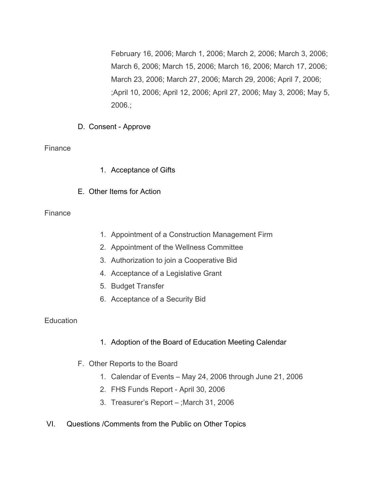February 16, 2006; March 1, 2006; March 2, 2006; March 3, 2006; March 6, 2006; March 15, 2006; March 16, 2006; March 17, 2006; March 23, 2006; March 27, 2006; March 29, 2006; April 7, 2006; ;April 10, 2006; April 12, 2006; April 27, 2006; May 3, 2006; May 5, 2006.;

D. Consent - Approve

### Finance

- 1. Acceptance of Gifts
- E. Other Items for Action

### Finance

- 1. Appointment of a Construction Management Firm
- 2. Appointment of the Wellness Committee
- 3. Authorization to join a Cooperative Bid
- 4. Acceptance of a Legislative Grant
- 5. Budget Transfer
- 6. Acceptance of a Security Bid

### **Education**

- 1. Adoption of the Board of Education Meeting Calendar
- F. Other Reports to the Board
	- 1. Calendar of Events May 24, 2006 through June 21, 2006
	- 2. FHS Funds Report April 30, 2006
	- 3. Treasurer's Report ;March 31, 2006
- VI. Questions /Comments from the Public on Other Topics